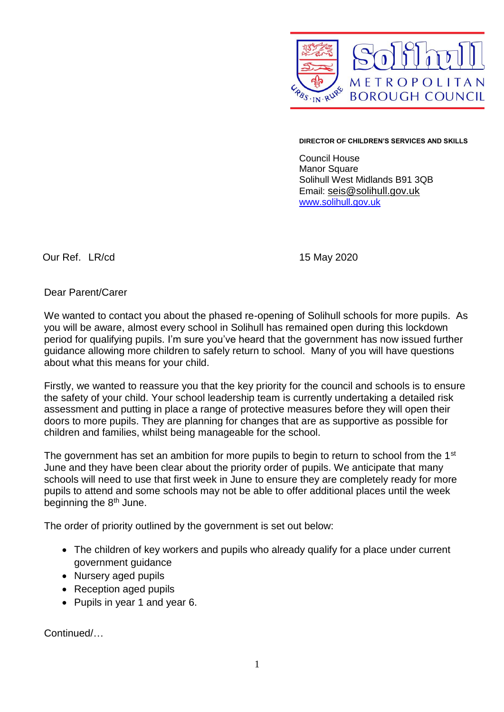

## **DIRECTOR OF CHILDREN'S SERVICES AND SKILLS**

Council House Manor Square Solihull West Midlands B91 3QB Email: [seis@solihull.gov.uk](mailto:seis@solihull.gov.uk) [www.solihull.gov.uk](http://www.solihull.gov.uk/)

Our Ref. LR/cd 15 May 2020

Dear Parent/Carer

We wanted to contact you about the phased re-opening of Solihull schools for more pupils. As you will be aware, almost every school in Solihull has remained open during this lockdown period for qualifying pupils. I'm sure you've heard that the government has now issued further guidance allowing more children to safely return to school. Many of you will have questions about what this means for your child.

Firstly, we wanted to reassure you that the key priority for the council and schools is to ensure the safety of your child. Your school leadership team is currently undertaking a detailed risk assessment and putting in place a range of protective measures before they will open their doors to more pupils. They are planning for changes that are as supportive as possible for children and families, whilst being manageable for the school.

The government has set an ambition for more pupils to begin to return to school from the 1<sup>st</sup> June and they have been clear about the priority order of pupils. We anticipate that many schools will need to use that first week in June to ensure they are completely ready for more pupils to attend and some schools may not be able to offer additional places until the week beginning the 8<sup>th</sup> June.

The order of priority outlined by the government is set out below:

- The children of key workers and pupils who already qualify for a place under current government guidance
- Nursery aged pupils
- Reception aged pupils
- Pupils in year 1 and year 6.

Continued/…